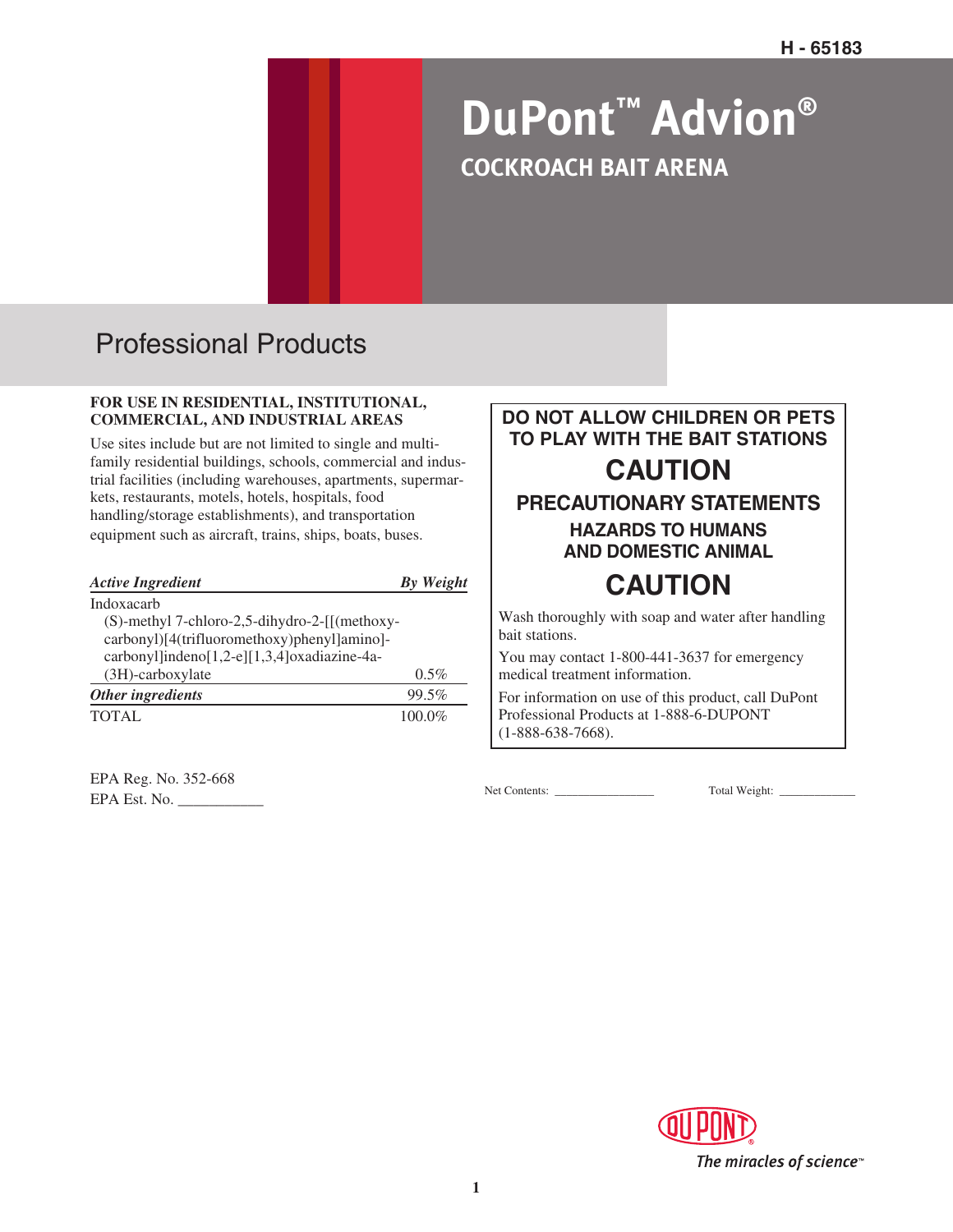# **DuPont™ Advion® COCKROACH BAIT ARENA**

## Professional Products

#### **FOR USE IN RESIDENTIAL, INSTITUTIONAL, COMMERCIAL, AND INDUSTRIAL AREAS**

Use sites include but are not limited to single and multifamily residential buildings, schools, commercial and industrial facilities (including warehouses, apartments, supermarkets, restaurants, motels, hotels, hospitals, food handling/storage establishments), and transportation equipment such as aircraft, trains, ships, boats, buses.

| <b>Active Ingredient</b>                      | By Weight |
|-----------------------------------------------|-----------|
| Indoxacarb                                    |           |
| (S)-methyl 7-chloro-2,5-dihydro-2-[[(methoxy- |           |
| carbonyl)[4(trifluoromethoxy)phenyl]amino]-   |           |
| carbonyl]indeno[1,2-e][1,3,4]oxadiazine-4a-   |           |
| (3H)-carboxylate                              | $0.5\%$   |
| Other ingredients                             | 99.5%     |
| TOTAL                                         | $100.0\%$ |

EPA Reg. No. 352-668 EPA Est. No. \_\_\_\_\_\_\_\_\_\_\_ Net Contents: \_\_\_\_\_\_\_\_\_\_\_\_\_\_\_\_\_ Total Weight: \_\_\_\_\_\_\_\_\_\_\_\_\_

**DO NOT ALLOW CHILDREN OR PETS TO PLAY WITH THE BAIT STATIONS CAUTION PRECAUTIONARY STATEMENTS HAZARDS TO HUMANS AND DOMESTIC ANIMAL CAUTION** Wash thoroughly with soap and water after handling

bait stations.

You may contact 1-800-441-3637 for emergency medical treatment information.

For information on use of this product, call DuPont Professional Products at 1-888-6-DUPONT (1-888-638-7668).

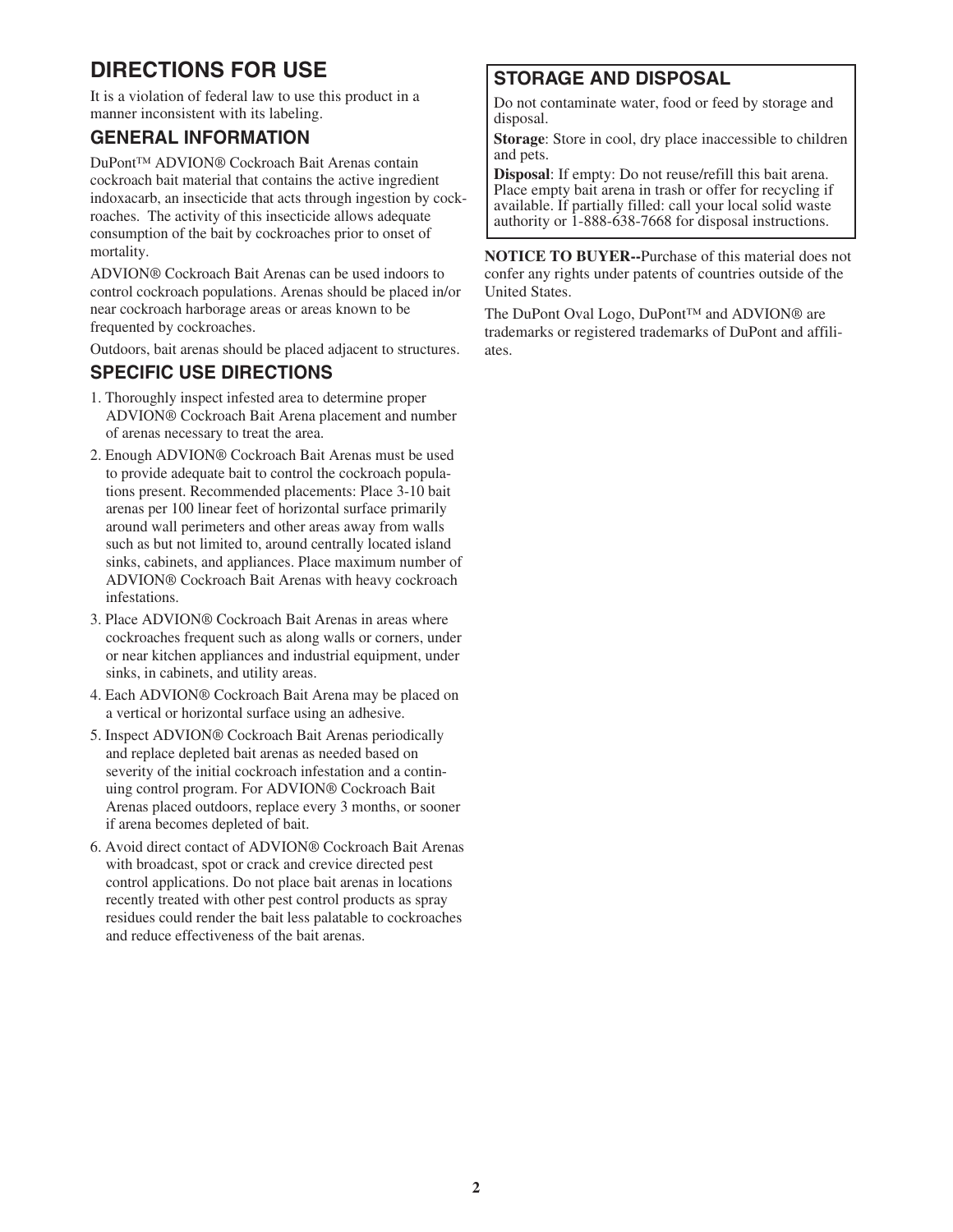### **DIRECTIONS FOR USE**

It is a violation of federal law to use this product in a manner inconsistent with its labeling.

#### **GENERAL INFORMATION**

DuPont™ ADVION® Cockroach Bait Arenas contain cockroach bait material that contains the active ingredient indoxacarb, an insecticide that acts through ingestion by cockroaches. The activity of this insecticide allows adequate consumption of the bait by cockroaches prior to onset of mortality.

ADVION® Cockroach Bait Arenas can be used indoors to control cockroach populations. Arenas should be placed in/or near cockroach harborage areas or areas known to be frequented by cockroaches.

Outdoors, bait arenas should be placed adjacent to structures.

#### **SPECIFIC USE DIRECTIONS**

- 1. Thoroughly inspect infested area to determine proper ADVION® Cockroach Bait Arena placement and number of arenas necessary to treat the area.
- 2. Enough ADVION® Cockroach Bait Arenas must be used to provide adequate bait to control the cockroach populations present. Recommended placements: Place 3-10 bait arenas per 100 linear feet of horizontal surface primarily around wall perimeters and other areas away from walls such as but not limited to, around centrally located island sinks, cabinets, and appliances. Place maximum number of ADVION® Cockroach Bait Arenas with heavy cockroach infestations.
- 3. Place ADVION® Cockroach Bait Arenas in areas where cockroaches frequent such as along walls or corners, under or near kitchen appliances and industrial equipment, under sinks, in cabinets, and utility areas.
- 4. Each ADVION® Cockroach Bait Arena may be placed on a vertical or horizontal surface using an adhesive.
- 5. Inspect ADVION® Cockroach Bait Arenas periodically and replace depleted bait arenas as needed based on severity of the initial cockroach infestation and a continuing control program. For ADVION® Cockroach Bait Arenas placed outdoors, replace every 3 months, or sooner if arena becomes depleted of bait.
- 6. Avoid direct contact of ADVION® Cockroach Bait Arenas with broadcast, spot or crack and crevice directed pest control applications. Do not place bait arenas in locations recently treated with other pest control products as spray residues could render the bait less palatable to cockroaches and reduce effectiveness of the bait arenas.

#### **STORAGE AND DISPOSAL**

Do not contaminate water, food or feed by storage and disposal.

**Storage**: Store in cool, dry place inaccessible to children and pets.

**Disposal**: If empty: Do not reuse/refill this bait arena. Place empty bait arena in trash or offer for recycling if available. If partially filled: call your local solid waste authority or 1-888-638-7668 for disposal instructions.

**NOTICE TO BUYER--**Purchase of this material does not confer any rights under patents of countries outside of the United States.

The DuPont Oval Logo, DuPont™ and ADVION® are trademarks or registered trademarks of DuPont and affiliates.